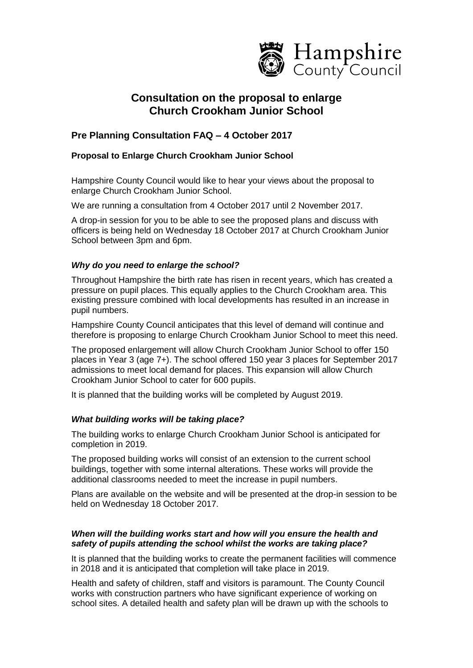

# **Consultation on the proposal to enlarge Church Crookham Junior School**

# **Pre Planning Consultation FAQ – 4 October 2017**

## **Proposal to Enlarge Church Crookham Junior School**

Hampshire County Council would like to hear your views about the proposal to enlarge Church Crookham Junior School.

We are running a consultation from 4 October 2017 until 2 November 2017.

A drop-in session for you to be able to see the proposed plans and discuss with officers is being held on Wednesday 18 October 2017 at Church Crookham Junior School between 3pm and 6pm.

### *Why do you need to enlarge the school?*

Throughout Hampshire the birth rate has risen in recent years, which has created a pressure on pupil places. This equally applies to the Church Crookham area. This existing pressure combined with local developments has resulted in an increase in pupil numbers.

Hampshire County Council anticipates that this level of demand will continue and therefore is proposing to enlarge Church Crookham Junior School to meet this need.

The proposed enlargement will allow Church Crookham Junior School to offer 150 places in Year 3 (age 7+). The school offered 150 year 3 places for September 2017 admissions to meet local demand for places. This expansion will allow Church Crookham Junior School to cater for 600 pupils.

It is planned that the building works will be completed by August 2019.

### *What building works will be taking place?*

The building works to enlarge Church Crookham Junior School is anticipated for completion in 2019.

The proposed building works will consist of an extension to the current school buildings, together with some internal alterations. These works will provide the additional classrooms needed to meet the increase in pupil numbers.

Plans are available on the website and will be presented at the drop-in session to be held on Wednesday 18 October 2017.

### *When will the building works start and how will you ensure the health and safety of pupils attending the school whilst the works are taking place?*

It is planned that the building works to create the permanent facilities will commence in 2018 and it is anticipated that completion will take place in 2019.

Health and safety of children, staff and visitors is paramount. The County Council works with construction partners who have significant experience of working on school sites. A detailed health and safety plan will be drawn up with the schools to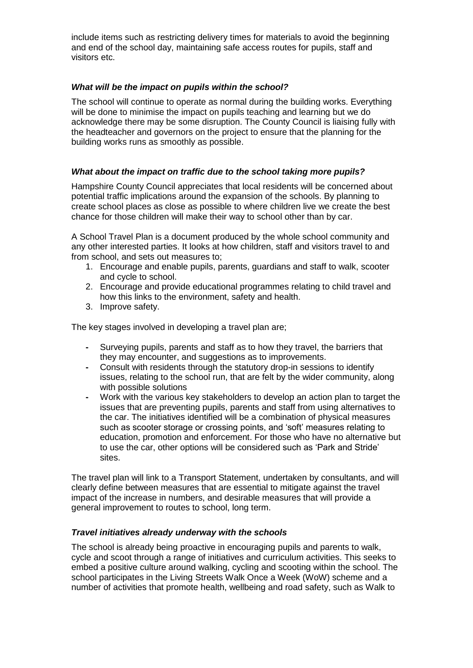include items such as restricting delivery times for materials to avoid the beginning and end of the school day, maintaining safe access routes for pupils, staff and visitors etc.

### *What will be the impact on pupils within the school?*

The school will continue to operate as normal during the building works. Everything will be done to minimise the impact on pupils teaching and learning but we do acknowledge there may be some disruption. The County Council is liaising fully with the headteacher and governors on the project to ensure that the planning for the building works runs as smoothly as possible.

### *What about the impact on traffic due to the school taking more pupils?*

Hampshire County Council appreciates that local residents will be concerned about potential traffic implications around the expansion of the schools. By planning to create school places as close as possible to where children live we create the best chance for those children will make their way to school other than by car.

A School Travel Plan is a document produced by the whole school community and any other interested parties. It looks at how children, staff and visitors travel to and from school, and sets out measures to;

- 1. Encourage and enable pupils, parents, guardians and staff to walk, scooter and cycle to school.
- 2. Encourage and provide educational programmes relating to child travel and how this links to the environment, safety and health.
- 3. Improve safety.

The key stages involved in developing a travel plan are;

- **-** Surveying pupils, parents and staff as to how they travel, the barriers that they may encounter, and suggestions as to improvements.
- **-** Consult with residents through the statutory drop-in sessions to identify issues, relating to the school run, that are felt by the wider community, along with possible solutions
- **-** Work with the various key stakeholders to develop an action plan to target the issues that are preventing pupils, parents and staff from using alternatives to the car. The initiatives identified will be a combination of physical measures such as scooter storage or crossing points, and 'soft' measures relating to education, promotion and enforcement. For those who have no alternative but to use the car, other options will be considered such as 'Park and Stride' sites.

The travel plan will link to a Transport Statement, undertaken by consultants, and will clearly define between measures that are essential to mitigate against the travel impact of the increase in numbers, and desirable measures that will provide a general improvement to routes to school, long term.

#### *Travel initiatives already underway with the schools*

The school is already being proactive in encouraging pupils and parents to walk, cycle and scoot through a range of initiatives and curriculum activities. This seeks to embed a positive culture around walking, cycling and scooting within the school. The school participates in the Living Streets Walk Once a Week (WoW) scheme and a number of activities that promote health, wellbeing and road safety, such as Walk to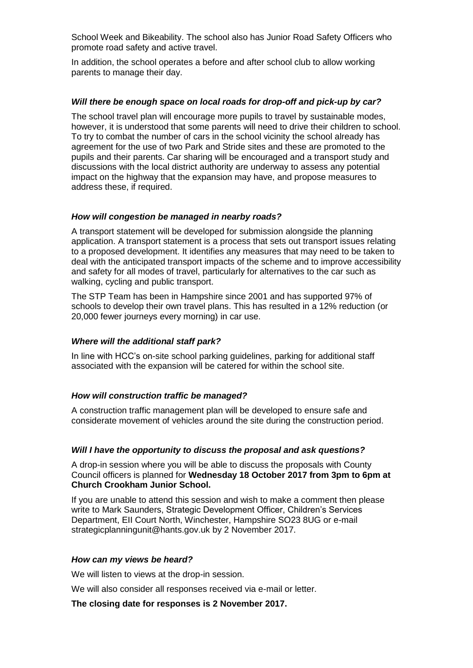School Week and Bikeability. The school also has Junior Road Safety Officers who promote road safety and active travel.

In addition, the school operates a before and after school club to allow working parents to manage their day.

#### *Will there be enough space on local roads for drop-off and pick-up by car?*

The school travel plan will encourage more pupils to travel by sustainable modes, however, it is understood that some parents will need to drive their children to school. To try to combat the number of cars in the school vicinity the school already has agreement for the use of two Park and Stride sites and these are promoted to the pupils and their parents. Car sharing will be encouraged and a transport study and discussions with the local district authority are underway to assess any potential impact on the highway that the expansion may have, and propose measures to address these, if required.

#### *How will congestion be managed in nearby roads?*

A transport statement will be developed for submission alongside the planning application. A transport statement is a process that sets out transport issues relating to a proposed development. It identifies any measures that may need to be taken to deal with the anticipated transport impacts of the scheme and to improve accessibility and safety for all modes of travel, particularly for alternatives to the car such as walking, cycling and public transport.

The STP Team has been in Hampshire since 2001 and has supported 97% of schools to develop their own travel plans. This has resulted in a 12% reduction (or 20,000 fewer journeys every morning) in car use.

#### *Where will the additional staff park?*

In line with HCC's on-site school parking guidelines, parking for additional staff associated with the expansion will be catered for within the school site.

#### *How will construction traffic be managed?*

A construction traffic management plan will be developed to ensure safe and considerate movement of vehicles around the site during the construction period.

#### *Will I have the opportunity to discuss the proposal and ask questions?*

A drop-in session where you will be able to discuss the proposals with County Council officers is planned for **Wednesday 18 October 2017 from 3pm to 6pm at Church Crookham Junior School.**

If you are unable to attend this session and wish to make a comment then please write to Mark Saunders, Strategic Development Officer, Children's Services Department, EII Court North, Winchester, Hampshire SO23 8UG or e-mail [strategicplanningunit@hants.gov.uk](mailto:strategicplanningunit@hants.gov.uk) by 2 November 2017.

#### *How can my views be heard?*

We will listen to views at the drop-in session.

We will also consider all responses received via e-mail or letter.

### **The closing date for responses is 2 November 2017.**